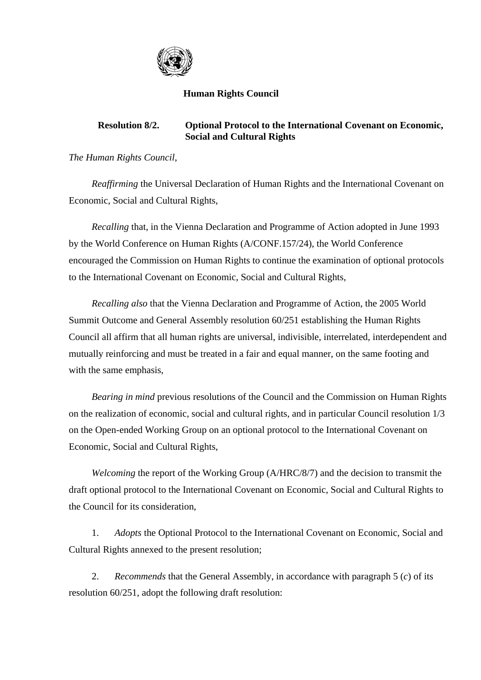

# **Human Rights Council**

# **Resolution 8/2. Optional Protocol to the International Covenant on Economic, Social and Cultural Rights**

*The Human Rights Council*,

*Reaffirming* the Universal Declaration of Human Rights and the International Covenant on Economic, Social and Cultural Rights,

 *Recalling* that, in the Vienna Declaration and Programme of Action adopted in June 1993 by the World Conference on Human Rights (A/CONF.157/24), the World Conference encouraged the Commission on Human Rights to continue the examination of optional protocols to the International Covenant on Economic, Social and Cultural Rights,

*Recalling also* that the Vienna Declaration and Programme of Action, the 2005 World Summit Outcome and General Assembly resolution 60/251 establishing the Human Rights Council all affirm that all human rights are universal, indivisible, interrelated, interdependent and mutually reinforcing and must be treated in a fair and equal manner, on the same footing and with the same emphasis,

 *Bearing in mind* previous resolutions of the Council and the Commission on Human Rights on the realization of economic, social and cultural rights, and in particular Council resolution 1/3 on the Open-ended Working Group on an optional protocol to the International Covenant on Economic, Social and Cultural Rights,

*Welcoming* the report of the Working Group (A/HRC/8/7) and the decision to transmit the draft optional protocol to the International Covenant on Economic, Social and Cultural Rights to the Council for its consideration,

 1. *Adopts* the Optional Protocol to the International Covenant on Economic, Social and Cultural Rights annexed to the present resolution;

 2. *Recommends* that the General Assembly, in accordance with paragraph 5 (*c*) of its resolution 60/251, adopt the following draft resolution: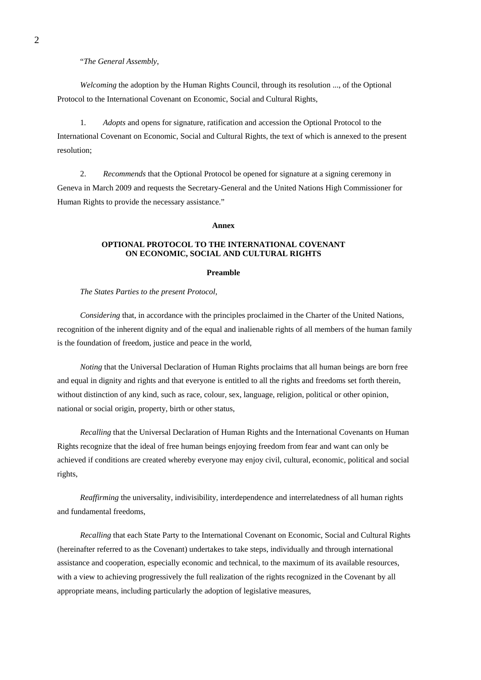"*The General Assembly*,

 *Welcoming* the adoption by the Human Rights Council, through its resolution ..., of the Optional Protocol to the International Covenant on Economic, Social and Cultural Rights,

 1*. Adopts* and opens for signature, ratification and accession the Optional Protocol to the International Covenant on Economic, Social and Cultural Rights, the text of which is annexed to the present resolution;

 2. *Recommends* that the Optional Protocol be opened for signature at a signing ceremony in Geneva in March 2009 and requests the Secretary-General and the United Nations High Commissioner for Human Rights to provide the necessary assistance."

#### **Annex**

# **OPTIONAL PROTOCOL TO THE INTERNATIONAL COVENANT ON ECONOMIC, SOCIAL AND CULTURAL RIGHTS**

## **Preamble**

*The States Parties to the present Protocol*,

*Considering* that, in accordance with the principles proclaimed in the Charter of the United Nations, recognition of the inherent dignity and of the equal and inalienable rights of all members of the human family is the foundation of freedom, justice and peace in the world,

*Noting* that the Universal Declaration of Human Rights proclaims that all human beings are born free and equal in dignity and rights and that everyone is entitled to all the rights and freedoms set forth therein, without distinction of any kind, such as race, colour, sex, language, religion, political or other opinion, national or social origin, property, birth or other status,

*Recalling* that the Universal Declaration of Human Rights and the International Covenants on Human Rights recognize that the ideal of free human beings enjoying freedom from fear and want can only be achieved if conditions are created whereby everyone may enjoy civil, cultural, economic, political and social rights,

*Reaffirming* the universality, indivisibility, interdependence and interrelatedness of all human rights and fundamental freedoms,

*Recalling* that each State Party to the International Covenant on Economic, Social and Cultural Rights (hereinafter referred to as the Covenant) undertakes to take steps, individually and through international assistance and cooperation, especially economic and technical, to the maximum of its available resources, with a view to achieving progressively the full realization of the rights recognized in the Covenant by all appropriate means, including particularly the adoption of legislative measures,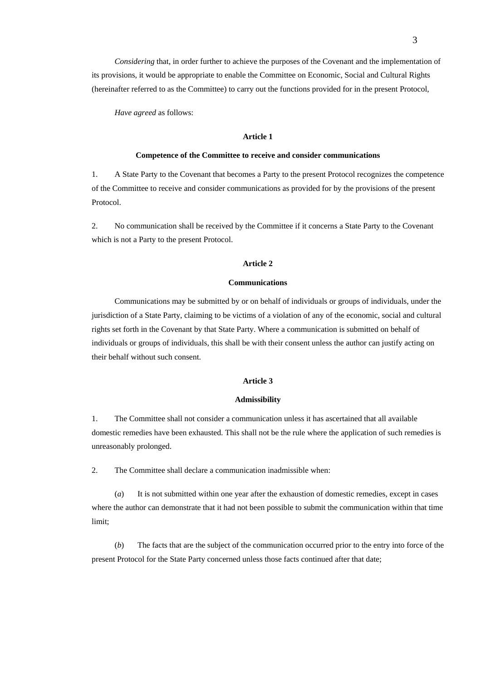*Considering* that, in order further to achieve the purposes of the Covenant and the implementation of its provisions, it would be appropriate to enable the Committee on Economic, Social and Cultural Rights (hereinafter referred to as the Committee) to carry out the functions provided for in the present Protocol,

*Have agreed* as follows:

# **Article 1**

# **Competence of the Committee to receive and consider communications**

1. A State Party to the Covenant that becomes a Party to the present Protocol recognizes the competence of the Committee to receive and consider communications as provided for by the provisions of the present Protocol.

2. No communication shall be received by the Committee if it concerns a State Party to the Covenant which is not a Party to the present Protocol.

# **Article 2**

#### **Communications**

 Communications may be submitted by or on behalf of individuals or groups of individuals, under the jurisdiction of a State Party, claiming to be victims of a violation of any of the economic, social and cultural rights set forth in the Covenant by that State Party. Where a communication is submitted on behalf of individuals or groups of individuals, this shall be with their consent unless the author can justify acting on their behalf without such consent.

#### **Article 3**

# **Admissibility**

1. The Committee shall not consider a communication unless it has ascertained that all available domestic remedies have been exhausted. This shall not be the rule where the application of such remedies is unreasonably prolonged.

2. The Committee shall declare a communication inadmissible when:

 (*a*) It is not submitted within one year after the exhaustion of domestic remedies, except in cases where the author can demonstrate that it had not been possible to submit the communication within that time limit;

 (*b*) The facts that are the subject of the communication occurred prior to the entry into force of the present Protocol for the State Party concerned unless those facts continued after that date;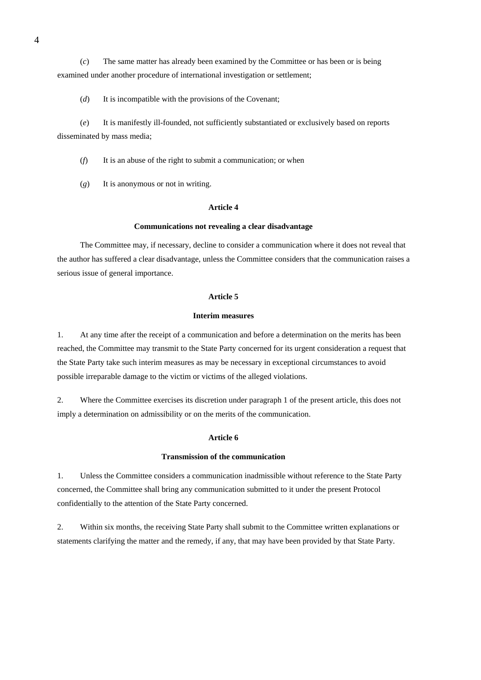(*c*) The same matter has already been examined by the Committee or has been or is being examined under another procedure of international investigation or settlement;

(*d*) It is incompatible with the provisions of the Covenant;

 (*e*) It is manifestly ill-founded, not sufficiently substantiated or exclusively based on reports disseminated by mass media;

(*f*) It is an abuse of the right to submit a communication; or when

(*g*) It is anonymous or not in writing.

# **Article 4**

#### **Communications not revealing a clear disadvantage**

 The Committee may, if necessary, decline to consider a communication where it does not reveal that the author has suffered a clear disadvantage, unless the Committee considers that the communication raises a serious issue of general importance.

#### **Article 5**

# **Interim measures**

1. At any time after the receipt of a communication and before a determination on the merits has been reached, the Committee may transmit to the State Party concerned for its urgent consideration a request that the State Party take such interim measures as may be necessary in exceptional circumstances to avoid possible irreparable damage to the victim or victims of the alleged violations.

2. Where the Committee exercises its discretion under paragraph 1 of the present article, this does not imply a determination on admissibility or on the merits of the communication.

# **Article 6**

# **Transmission of the communication**

1. Unless the Committee considers a communication inadmissible without reference to the State Party concerned, the Committee shall bring any communication submitted to it under the present Protocol confidentially to the attention of the State Party concerned.

2. Within six months, the receiving State Party shall submit to the Committee written explanations or statements clarifying the matter and the remedy, if any, that may have been provided by that State Party.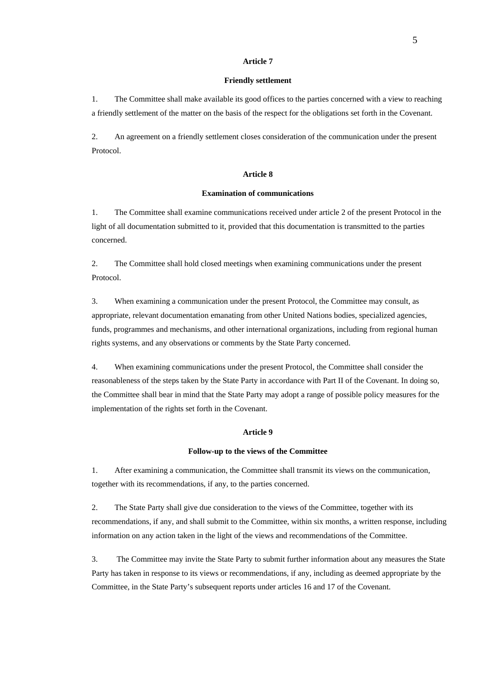# **Friendly settlement**

1. The Committee shall make available its good offices to the parties concerned with a view to reaching a friendly settlement of the matter on the basis of the respect for the obligations set forth in the Covenant.

2. An agreement on a friendly settlement closes consideration of the communication under the present Protocol.

# **Article 8**

## **Examination of communications**

1. The Committee shall examine communications received under article 2 of the present Protocol in the light of all documentation submitted to it, provided that this documentation is transmitted to the parties concerned.

2. The Committee shall hold closed meetings when examining communications under the present Protocol.

3. When examining a communication under the present Protocol, the Committee may consult, as appropriate, relevant documentation emanating from other United Nations bodies, specialized agencies, funds, programmes and mechanisms, and other international organizations, including from regional human rights systems, and any observations or comments by the State Party concerned.

4. When examining communications under the present Protocol, the Committee shall consider the reasonableness of the steps taken by the State Party in accordance with Part II of the Covenant. In doing so, the Committee shall bear in mind that the State Party may adopt a range of possible policy measures for the implementation of the rights set forth in the Covenant.

# **Article 9**

#### **Follow-up to the views of the Committee**

1. After examining a communication, the Committee shall transmit its views on the communication, together with its recommendations, if any, to the parties concerned.

2. The State Party shall give due consideration to the views of the Committee, together with its recommendations, if any, and shall submit to the Committee, within six months, a written response, including information on any action taken in the light of the views and recommendations of the Committee.

3. The Committee may invite the State Party to submit further information about any measures the State Party has taken in response to its views or recommendations, if any, including as deemed appropriate by the Committee, in the State Party's subsequent reports under articles 16 and 17 of the Covenant.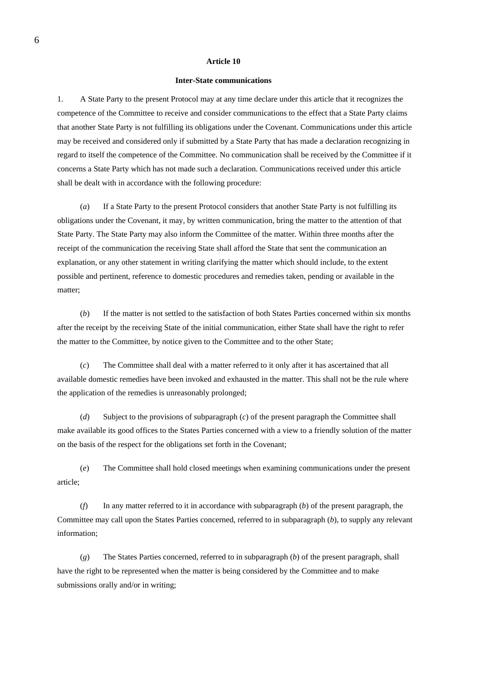# **Inter-State communications**

1. A State Party to the present Protocol may at any time declare under this article that it recognizes the competence of the Committee to receive and consider communications to the effect that a State Party claims that another State Party is not fulfilling its obligations under the Covenant. Communications under this article may be received and considered only if submitted by a State Party that has made a declaration recognizing in regard to itself the competence of the Committee. No communication shall be received by the Committee if it concerns a State Party which has not made such a declaration. Communications received under this article shall be dealt with in accordance with the following procedure:

 (*a*) If a State Party to the present Protocol considers that another State Party is not fulfilling its obligations under the Covenant, it may, by written communication, bring the matter to the attention of that State Party. The State Party may also inform the Committee of the matter. Within three months after the receipt of the communication the receiving State shall afford the State that sent the communication an explanation, or any other statement in writing clarifying the matter which should include, to the extent possible and pertinent, reference to domestic procedures and remedies taken, pending or available in the matter;

 (*b*) If the matter is not settled to the satisfaction of both States Parties concerned within six months after the receipt by the receiving State of the initial communication, either State shall have the right to refer the matter to the Committee, by notice given to the Committee and to the other State;

 (*c*) The Committee shall deal with a matter referred to it only after it has ascertained that all available domestic remedies have been invoked and exhausted in the matter. This shall not be the rule where the application of the remedies is unreasonably prolonged;

 (*d*) Subject to the provisions of subparagraph (*c*) of the present paragraph the Committee shall make available its good offices to the States Parties concerned with a view to a friendly solution of the matter on the basis of the respect for the obligations set forth in the Covenant;

 (*e*) The Committee shall hold closed meetings when examining communications under the present article;

 (*f*) In any matter referred to it in accordance with subparagraph (*b*) of the present paragraph, the Committee may call upon the States Parties concerned, referred to in subparagraph (*b*), to supply any relevant information;

 (*g*) The States Parties concerned, referred to in subparagraph (*b*) of the present paragraph, shall have the right to be represented when the matter is being considered by the Committee and to make submissions orally and/or in writing;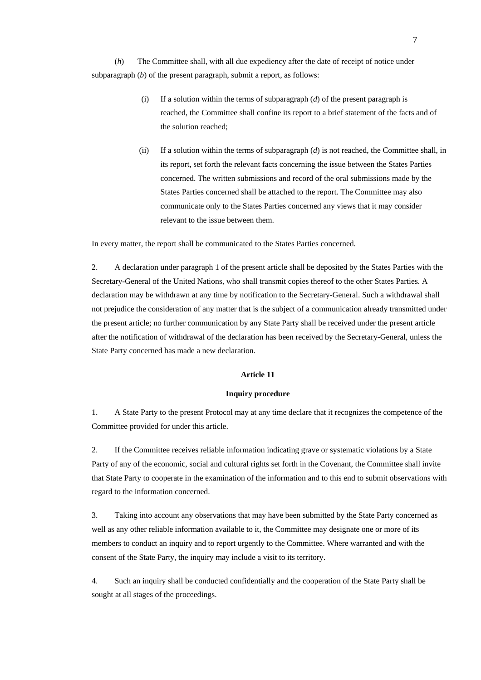(*h*) The Committee shall, with all due expediency after the date of receipt of notice under subparagraph (*b*) of the present paragraph, submit a report, as follows:

- (i) If a solution within the terms of subparagraph (*d*) of the present paragraph is reached, the Committee shall confine its report to a brief statement of the facts and of the solution reached;
- (ii) If a solution within the terms of subparagraph (*d*) is not reached, the Committee shall, in its report, set forth the relevant facts concerning the issue between the States Parties concerned. The written submissions and record of the oral submissions made by the States Parties concerned shall be attached to the report. The Committee may also communicate only to the States Parties concerned any views that it may consider relevant to the issue between them.

In every matter, the report shall be communicated to the States Parties concerned.

2. A declaration under paragraph 1 of the present article shall be deposited by the States Parties with the Secretary-General of the United Nations, who shall transmit copies thereof to the other States Parties. A declaration may be withdrawn at any time by notification to the Secretary-General. Such a withdrawal shall not prejudice the consideration of any matter that is the subject of a communication already transmitted under the present article; no further communication by any State Party shall be received under the present article after the notification of withdrawal of the declaration has been received by the Secretary-General, unless the State Party concerned has made a new declaration.

# **Article 11**

# **Inquiry procedure**

1. A State Party to the present Protocol may at any time declare that it recognizes the competence of the Committee provided for under this article.

2. If the Committee receives reliable information indicating grave or systematic violations by a State Party of any of the economic, social and cultural rights set forth in the Covenant, the Committee shall invite that State Party to cooperate in the examination of the information and to this end to submit observations with regard to the information concerned.

3. Taking into account any observations that may have been submitted by the State Party concerned as well as any other reliable information available to it, the Committee may designate one or more of its members to conduct an inquiry and to report urgently to the Committee. Where warranted and with the consent of the State Party, the inquiry may include a visit to its territory.

4. Such an inquiry shall be conducted confidentially and the cooperation of the State Party shall be sought at all stages of the proceedings.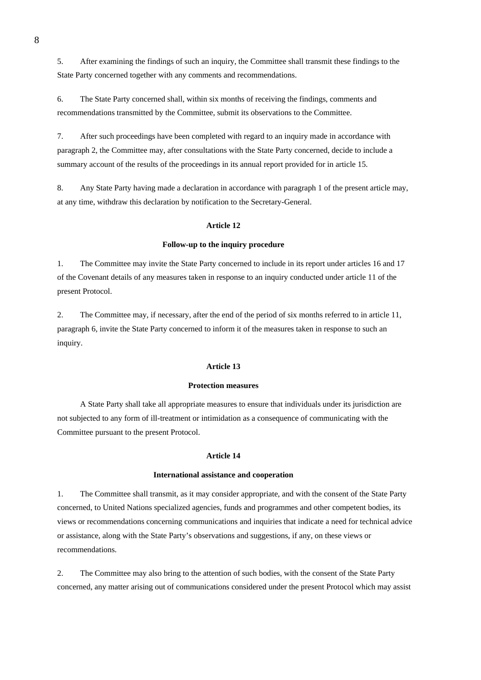5. After examining the findings of such an inquiry, the Committee shall transmit these findings to the State Party concerned together with any comments and recommendations.

6. The State Party concerned shall, within six months of receiving the findings, comments and recommendations transmitted by the Committee, submit its observations to the Committee.

7. After such proceedings have been completed with regard to an inquiry made in accordance with paragraph 2, the Committee may, after consultations with the State Party concerned, decide to include a summary account of the results of the proceedings in its annual report provided for in article 15.

8. Any State Party having made a declaration in accordance with paragraph 1 of the present article may, at any time, withdraw this declaration by notification to the Secretary-General.

# **Article 12**

# **Follow-up to the inquiry procedure**

1. The Committee may invite the State Party concerned to include in its report under articles 16 and 17 of the Covenant details of any measures taken in response to an inquiry conducted under article 11 of the present Protocol.

2. The Committee may, if necessary, after the end of the period of six months referred to in article 11, paragraph 6, invite the State Party concerned to inform it of the measures taken in response to such an inquiry.

# **Article 13**

# **Protection measures**

 A State Party shall take all appropriate measures to ensure that individuals under its jurisdiction are not subjected to any form of ill-treatment or intimidation as a consequence of communicating with the Committee pursuant to the present Protocol.

# **Article 14**

#### **International assistance and cooperation**

1. The Committee shall transmit, as it may consider appropriate, and with the consent of the State Party concerned, to United Nations specialized agencies, funds and programmes and other competent bodies, its views or recommendations concerning communications and inquiries that indicate a need for technical advice or assistance, along with the State Party's observations and suggestions, if any, on these views or recommendations.

2. The Committee may also bring to the attention of such bodies, with the consent of the State Party concerned, any matter arising out of communications considered under the present Protocol which may assist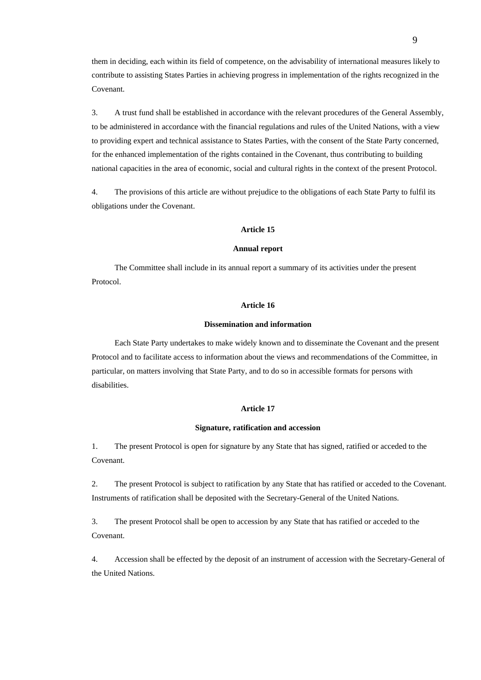them in deciding, each within its field of competence, on the advisability of international measures likely to contribute to assisting States Parties in achieving progress in implementation of the rights recognized in the Covenant.

3. A trust fund shall be established in accordance with the relevant procedures of the General Assembly, to be administered in accordance with the financial regulations and rules of the United Nations, with a view to providing expert and technical assistance to States Parties, with the consent of the State Party concerned, for the enhanced implementation of the rights contained in the Covenant, thus contributing to building national capacities in the area of economic, social and cultural rights in the context of the present Protocol.

4. The provisions of this article are without prejudice to the obligations of each State Party to fulfil its obligations under the Covenant.

# **Article 15**

#### **Annual report**

 The Committee shall include in its annual report a summary of its activities under the present Protocol.

## **Article 16**

## **Dissemination and information**

 Each State Party undertakes to make widely known and to disseminate the Covenant and the present Protocol and to facilitate access to information about the views and recommendations of the Committee, in particular, on matters involving that State Party, and to do so in accessible formats for persons with disabilities.

# **Article 17**

## **Signature, ratification and accession**

1. The present Protocol is open for signature by any State that has signed, ratified or acceded to the Covenant.

2. The present Protocol is subject to ratification by any State that has ratified or acceded to the Covenant. Instruments of ratification shall be deposited with the Secretary-General of the United Nations.

3. The present Protocol shall be open to accession by any State that has ratified or acceded to the Covenant.

4. Accession shall be effected by the deposit of an instrument of accession with the Secretary-General of the United Nations.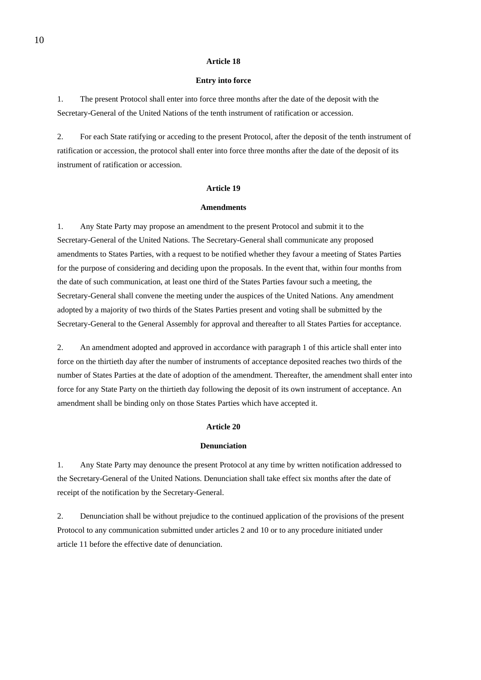#### **Entry into force**

1. The present Protocol shall enter into force three months after the date of the deposit with the Secretary-General of the United Nations of the tenth instrument of ratification or accession.

2. For each State ratifying or acceding to the present Protocol, after the deposit of the tenth instrument of ratification or accession, the protocol shall enter into force three months after the date of the deposit of its instrument of ratification or accession.

# **Article 19**

# **Amendments**

1. Any State Party may propose an amendment to the present Protocol and submit it to the Secretary-General of the United Nations. The Secretary-General shall communicate any proposed amendments to States Parties, with a request to be notified whether they favour a meeting of States Parties for the purpose of considering and deciding upon the proposals. In the event that, within four months from the date of such communication, at least one third of the States Parties favour such a meeting, the Secretary-General shall convene the meeting under the auspices of the United Nations. Any amendment adopted by a majority of two thirds of the States Parties present and voting shall be submitted by the Secretary-General to the General Assembly for approval and thereafter to all States Parties for acceptance.

2. An amendment adopted and approved in accordance with paragraph 1 of this article shall enter into force on the thirtieth day after the number of instruments of acceptance deposited reaches two thirds of the number of States Parties at the date of adoption of the amendment. Thereafter, the amendment shall enter into force for any State Party on the thirtieth day following the deposit of its own instrument of acceptance. An amendment shall be binding only on those States Parties which have accepted it.

# **Article 20**

#### **Denunciation**

1. Any State Party may denounce the present Protocol at any time by written notification addressed to the Secretary-General of the United Nations. Denunciation shall take effect six months after the date of receipt of the notification by the Secretary-General.

2. Denunciation shall be without prejudice to the continued application of the provisions of the present Protocol to any communication submitted under articles 2 and 10 or to any procedure initiated under article 11 before the effective date of denunciation.